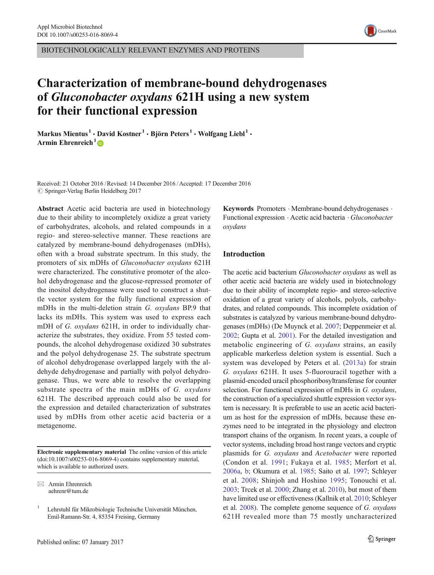BIOTECHNOLOGICALLY RELEVANT ENZYMES AND PROTEINS



# Characterization of membrane-bound dehydrogenases of Gluconobacter oxydans 621H using a new system for their functional expression

Markus Mientus<sup>1</sup> · David Kostner<sup>1</sup> · Björn Peters<sup>1</sup> · Wolfgang Liebl<sup>1</sup> · Armin Ehrenreich<sup>1</sup>

Received: 21 October 2016 /Revised: 14 December 2016 /Accepted: 17 December 2016  $\oslash$  Springer-Verlag Berlin Heidelberg 2017

Abstract Acetic acid bacteria are used in biotechnology due to their ability to incompletely oxidize a great variety of carbohydrates, alcohols, and related compounds in a regio- and stereo-selective manner. These reactions are catalyzed by membrane-bound dehydrogenases (mDHs), often with a broad substrate spectrum. In this study, the promoters of six mDHs of Gluconobacter oxydans 621H were characterized. The constitutive promoter of the alcohol dehydrogenase and the glucose-repressed promoter of the inositol dehydrogenase were used to construct a shuttle vector system for the fully functional expression of mDHs in the multi-deletion strain G. oxydans BP.9 that lacks its mDHs. This system was used to express each mDH of G. oxydans 621H, in order to individually characterize the substrates, they oxidize. From 55 tested compounds, the alcohol dehydrogenase oxidized 30 substrates and the polyol dehydrogenase 25. The substrate spectrum of alcohol dehydrogenase overlapped largely with the aldehyde dehydrogenase and partially with polyol dehydrogenase. Thus, we were able to resolve the overlapping substrate spectra of the main mDHs of G. oxydans 621H. The described approach could also be used for the expression and detailed characterization of substrates used by mDHs from other acetic acid bacteria or a metagenome.

Electronic supplementary material The online version of this article (doi[:10.1007/s00253-016-8069-4](http://dx.doi.org/10.1007/s00253-016-8069-4)) contains supplementary material, which is available to authorized users.

 $\boxtimes$  Armin Ehrenreich aehrenr@tum.de

Keywords Promoters · Membrane-bound dehydrogenases · Functional expression . Acetic acid bacteria . Gluconobacter oxydans

## Introduction

The acetic acid bacterium Gluconobacter oxydans as well as other acetic acid bacteria are widely used in biotechnology due to their ability of incomplete regio- and stereo-selective oxidation of a great variety of alcohols, polyols, carbohydrates, and related compounds. This incomplete oxidation of substrates is catalyzed by various membrane-bound dehydrogenases (mDHs) (De Muynck et al. [2007;](#page-10-0) Deppenmeier et al. [2002;](#page-10-0) Gupta et al. [2001\)](#page-10-0). For the detailed investigation and metabolic engineering of G. oxydans strains, an easily applicable markerless deletion system is essential. Such a system was developed by Peters et al. [\(2013a](#page-10-0)) for strain G. oxydans 621H. It uses 5-fluorouracil together with a plasmid-encoded uracil phosphoribosyltransferase for counter selection. For functional expression of mDHs in G. oxydans, the construction of a specialized shuttle expression vector system is necessary. It is preferable to use an acetic acid bacterium as host for the expression of mDHs, because these enzymes need to be integrated in the physiology and electron transport chains of the organism. In recent years, a couple of vector systems, including broad host range vectors and cryptic plasmids for G. oxydans and Acetobacter were reported (Condon et al. [1991;](#page-10-0) Fukaya et al. [1985](#page-10-0); Merfort et al. [2006a](#page-10-0), [b](#page-10-0); Okumura et al. [1985](#page-10-0); Saito et al. [1997](#page-11-0); Schleyer et al. [2008](#page-11-0); Shinjoh and Hoshino [1995](#page-11-0); Tonouchi et al. [2003;](#page-11-0) Trcek et al. [2000](#page-11-0); Zhang et al. [2010\)](#page-11-0), but most of them have limited use or effectiveness (Kallnik et al. [2010;](#page-10-0) Schleyer et al. [2008\)](#page-11-0). The complete genome sequence of G. oxydans 621H revealed more than 75 mostly uncharacterized

<sup>&</sup>lt;sup>1</sup> Lehrstuhl für Mikrobiologie Technische Universität München, Emil-Ramann-Str. 4, 85354 Freising, Germany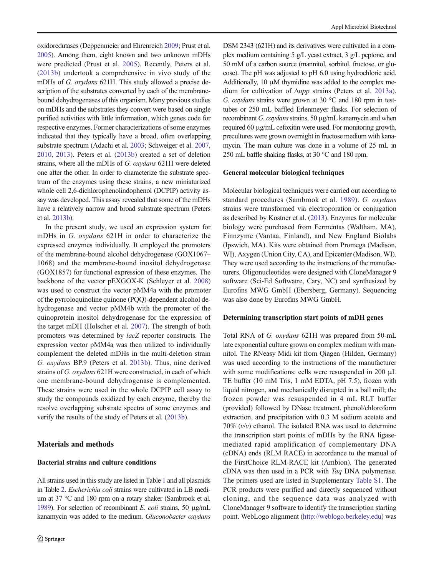<span id="page-1-0"></span>oxidoredutases (Deppenmeier and Ehrenreich [2009;](#page-10-0) Prust et al. [2005](#page-10-0)). Among them, eight known and two unknown mDHs were predicted (Prust et al. [2005\)](#page-10-0). Recently, Peters et al. [\(2013b\)](#page-10-0) undertook a comprehensive in vivo study of the mDHs of G. *oxydans* 621H. This study allowed a precise description of the substrates converted by each of the membranebound dehydrogenases of this organism. Many previous studies on mDHs and the substrates they convert were based on single purified activities with little information, which genes code for respective enzymes. Former characterizations of some enzymes indicated that they typically have a broad, often overlapping substrate spectrum (Adachi et al. [2003](#page-10-0); Schweiger et al. [2007,](#page-11-0) [2010,](#page-11-0) [2013\)](#page-11-0). Peters et al. [\(2013b\)](#page-10-0) created a set of deletion strains, where all the mDHs of G. oxydans 621H were deleted one after the other. In order to characterize the substrate spectrum of the enzymes using these strains, a new miniaturized whole cell 2,6-dichlorophenolindophenol (DCPIP) activity assay was developed. This assay revealed that some of the mDHs have a relatively narrow and broad substrate spectrum (Peters et al. [2013b\)](#page-10-0).

In the present study, we used an expression system for mDHs in G. oxydans 621H in order to characterize the expressed enzymes individually. It employed the promoters of the membrane-bound alcohol dehydrogenase (GOX1067– 1068) and the membrane-bound inositol dehydrogenase (GOX1857) for functional expression of these enzymes. The backbone of the vector pEXGOX-K (Schleyer et al. [2008\)](#page-11-0) was used to construct the vector pMM4a with the promoter of the pyrroloquinoline quinone (PQQ)-dependent alcohol dehydrogenase and vector pMM4b with the promoter of the quinoprotein inositol dehydrogenase for the expression of the target mDH (Holscher et al. [2007](#page-10-0)). The strength of both promoters was determined by lacZ reporter constructs. The expression vector pMM4a was then utilized to individually complement the deleted mDHs in the multi-deletion strain G. oxydans BP.9 (Peters et al. [2013b](#page-10-0)). Thus, nine derived strains of G. oxydans 621H were constructed, in each of which one membrane-bound dehydrogenase is complemented. These strains were used in the whole DCPIP cell assay to study the compounds oxidized by each enzyme, thereby the resolve overlapping substrate spectra of some enzymes and verify the results of the study of Peters et al. [\(2013b\)](#page-10-0).

## Materials and methods

## Bacterial strains and culture conditions

All strains used in this study are listed in Table [1](#page-2-0) and all plasmids in Table [2.](#page-3-0) Escherichia coli strains were cultivated in LB medium at 37 °C and 180 rpm on a rotary shaker (Sambrook et al. [1989\)](#page-11-0). For selection of recombinant E. coli strains, 50  $\mu$ g/mL kanamycin was added to the medium. Gluconobacter oxydans

DSM 2343 (621H) and its derivatives were cultivated in a complex medium containing 5 g/L yeast extract, 3 g/L peptone, and 50 mM of a carbon source (mannitol, sorbitol, fructose, or glucose). The pH was adjusted to pH 6.0 using hydrochloric acid. Additionally, 10 μM thymidine was added to the complex medium for cultivation of Δupp strains (Peters et al. [2013a\)](#page-10-0). G. oxydans strains were grown at 30 °C and 180 rpm in testtubes or 250 mL baffled Erlenmeyer flasks. For selection of recombinant G. oxydans strains, 50  $\mu$ g/mL kanamycin and when required 60 μg/mL cefoxitin were used. For monitoring growth, precultures were grown overnight in fructose medium with kanamycin. The main culture was done in a volume of 25 mL in 250 mL baffle shaking flasks, at 30 °C and 180 rpm.

## General molecular biological techniques

Molecular biological techniques were carried out according to standard procedures (Sambrook et al. [1989](#page-11-0)). G. oxydans strains were transformed via electroporation or conjugation as described by Kostner et al. [\(2013\)](#page-10-0). Enzymes for molecular biology were purchased from Fermentas (Waltham, MA), Finnzyme (Vantaa, Finland), and New England Biolabs (Ipswich, MA). Kits were obtained from Promega (Madison, WI), Axygen (Union City, CA), and Epicenter (Madison, WI). They were used according to the instructions of the manufacturers. Oligonucleotides were designed with CloneManager 9 software (Sci-Ed Softwatre, Cary, NC) and synthesized by Eurofins MWG GmbH (Ebersberg, Germany). Sequencing was also done by Eurofins MWG GmbH.

### Determining transcription start points of mDH genes

Total RNA of G. oxydans 621H was prepared from 50-mL late exponential culture grown on complex medium with mannitol. The RNeasy Midi kit from Qiagen (Hilden, Germany) was used according to the instructions of the manufacturer with some modifications: cells were resuspended in 200 μL TE buffer (10 mM Tris, 1 mM EDTA, pH 7.5), frozen with liquid nitrogen, and mechanically disrupted in a ball mill; the frozen powder was resuspended in 4 mL RLT buffer (provided) followed by DNase treatment, phenol/chloroform extraction, and precipitation with 0.3 M sodium acetate and 70%  $(v/v)$  ethanol. The isolated RNA was used to determine the transcription start points of mDHs by the RNA ligasemediated rapid amplification of complementary DNA (cDNA) ends (RLM RACE) in accordance to the manual of the FirstChoice RLM-RACE kit (Ambion). The generated cDNA was then used in a PCR with Taq DNA polymerase. The primers used are listed in Supplementary Table S1. The PCR products were purified and directly sequenced without cloning, and the sequence data was analyzed with CloneManager 9 software to identify the transcription starting point. WebLogo alignment ([http://weblogo.berkeley.edu\)](http://weblogo.berkeley.edu) was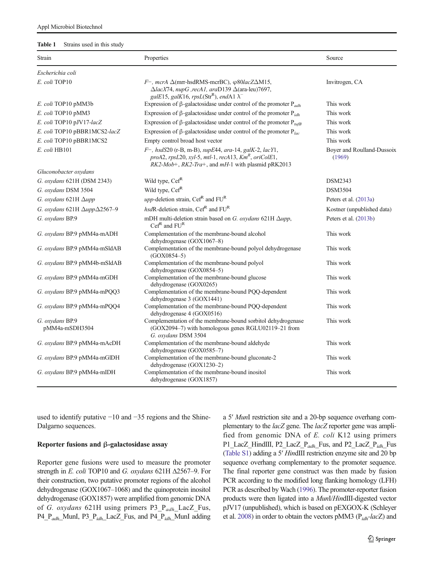### <span id="page-2-0"></span>Table 1 Strains used in this study

| Strain                                     | Properties                                                                                                                                                                                                      | Source                               |  |  |
|--------------------------------------------|-----------------------------------------------------------------------------------------------------------------------------------------------------------------------------------------------------------------|--------------------------------------|--|--|
| Escherichia coli                           |                                                                                                                                                                                                                 |                                      |  |  |
| E. coli TOP10                              | $F^-,$ mcrA $\Delta$ (mrr-hsdRMS-mcrBC), $\varphi 80lacZ\Delta M15$ ,<br>$\Delta$ lacX74, nupG ,recA1, araD139 $\Delta$ (ara-leu)7697,<br>galE15, galK16, rpsL(Str <sup>R</sup> ), endA1 $\lambda$ <sup>-</sup> | Invitrogen, CA                       |  |  |
| E. coli TOP10 pMM3b                        | Expression of $\beta$ -galactosidase under control of the promoter $P_{adh}$                                                                                                                                    | This work                            |  |  |
| E. coli TOP10 pMM3                         | Expression of $\beta$ -galactosidase under control of the promoter $P_{idh}$                                                                                                                                    | This work                            |  |  |
| E. coli TOP10 pJV17-lacZ                   | Expression of $\beta$ -galactosidase under control of the promoter $P_{tufB}$                                                                                                                                   | This work                            |  |  |
| E. coli TOP10 pBBR1MCS2-lacZ               | Expression of $\beta$ -galactosidase under control of the promoter $P_{lac}$                                                                                                                                    | This work                            |  |  |
| E. coli TOP10 pBBR1MCS2                    | Empty control broad host vector                                                                                                                                                                                 | This work                            |  |  |
| E. coli HB101                              | $F^-,$ hsdS20 (r-B, m-B), supE44, ara-14, galK-2, lacY1,<br>proA2, rpsL20, xyl-5, mtl-1, recA13, $KmR$ , oriColE1,<br>$RK2-Mob+$ , $RK2-Tra+$ , and $mH-1$ with plasmid pRK2013                                 | Boyer and Roulland-Dussoix<br>(1969) |  |  |
| Gluconobacter oxydans                      |                                                                                                                                                                                                                 |                                      |  |  |
| G. oxydans 621H (DSM 2343)                 | Wild type, Cef <sup>R</sup>                                                                                                                                                                                     | DSM2343                              |  |  |
| G. oxydans DSM 3504                        | Wild type, Cef <sup>R</sup>                                                                                                                                                                                     | <b>DSM3504</b>                       |  |  |
| G. oxydans 621H $\Delta$ upp               | upp-deletion strain, $\text{Cef}^R$ and $\text{FU}^R$                                                                                                                                                           | Peters et al. (2013a)                |  |  |
| G. oxydans 621H $\Delta upp \Delta 2567-9$ | $hsdR$ -deletion strain, Cef <sup>R</sup> and $FUR$                                                                                                                                                             | Kostner (unpublished data)           |  |  |
| G. oxydans BP.9                            | mDH multi-deletion strain based on G. oxydans 621H $\Delta upp$ ,<br>$Cef^R$ and $FU^R$                                                                                                                         | Peters et al. (2013b)                |  |  |
| G. oxydans BP.9 pMM4a-mADH                 | Complementation of the membrane-bound alcohol<br>dehydrogenase (GOX1067-8)                                                                                                                                      | This work                            |  |  |
| G. oxydans BP.9 pMM4a-mSldAB               | Complementation of the membrane-bound polyol dehydrogenase<br>$(GOX0854 - 5)$                                                                                                                                   | This work                            |  |  |
| G. oxydans BP.9 pMM4b-mSldAB               | Complementation of the membrane-bound polyol<br>dehydrogenase (GOX0854-5)                                                                                                                                       | This work                            |  |  |
| G. oxydans BP.9 pMM4a-mGDH                 | Complementation of the membrane-bound glucose<br>dehydrogenase (GOX0265)                                                                                                                                        | This work                            |  |  |
| G. oxydans BP.9 pMM4a-mPQQ3                | Complementation of the membrane-bound PQQ-dependent<br>dehydrogenase 3 (GOX1441)                                                                                                                                | This work                            |  |  |
| G. oxydans BP.9 pMM4a-mPQQ4                | Complementation of the membrane-bound PQQ-dependent<br>dehydrogenase 4 (GOX0516)                                                                                                                                | This work                            |  |  |
| G. oxydans BP.9<br>pMM4a-mSDH3504          | Complementation of the membrane-bound sorbitol dehydrogenase<br>(GOX2094–7) with homologous genes RGLU02119–21 from<br>G. oxydans DSM 3504                                                                      | This work                            |  |  |
| G. oxydans BP.9 pMM4a-mAcDH                | Complementation of the membrane-bound aldehyde<br>dehydrogenase $(GOX0585-7)$                                                                                                                                   | This work                            |  |  |
| G. oxydans BP.9 pMM4a-mGlDH                | Complementation of the membrane-bound gluconate-2<br>dehydrogenase (GOX1230-2)                                                                                                                                  | This work                            |  |  |
| G. oxydans BP.9 pMM4a-mIDH                 | Complementation of the membrane-bound inositol<br>dehydrogenase (GOX1857)                                                                                                                                       | This work                            |  |  |

used to identify putative −10 and −35 regions and the Shine-Dalgarno sequences.

## Reporter fusions and β-galactosidase assay

Reporter gene fusions were used to measure the promoter strength in E. coli TOP10 and G. oxydans 621H Δ2567–9. For their construction, two putative promoter regions of the alcohol dehydrogenase (GOX1067–1068) and the quinoprotein inositol dehydrogenase (GOX1857) were amplified from genomic DNA of G. oxydans 621H using primers  $P3_P_{adh}\_$ LacZ\_Fus, P4\_P<sub>adh\_</sub>MunI, P3\_P<sub>idh\_</sub>LacZ\_Fus, and P4\_P<sub>idh\_</sub>MunI adding a 5′ MunI restriction site and a 20-bp sequence overhang complementary to the lacZ gene. The lacZ reporter gene was amplified from genomic DNA of E. coli K12 using primers P1\_LacZ\_HindIII, P2\_LacZ\_P<sub>adh\_F</sub>us, and P2\_LacZ\_P<sub>idh\_</sub>Fus (Table S1) adding a 5′ HindIII restriction enzyme site and 20 bp sequence overhang complementary to the promoter sequence. The final reporter gene construct was then made by fusion PCR according to the modified long flanking homology (LFH) PCR as described by Wach ([1996\)](#page-11-0). The promoter-reporter fusion products were then ligated into a MunI/HindIII-digested vector pJV17 (unpublished), which is based on pEXGOX-K (Schleyer et al. [2008](#page-11-0)) in order to obtain the vectors pMM3 ( $P_{idh}$ -lacZ) and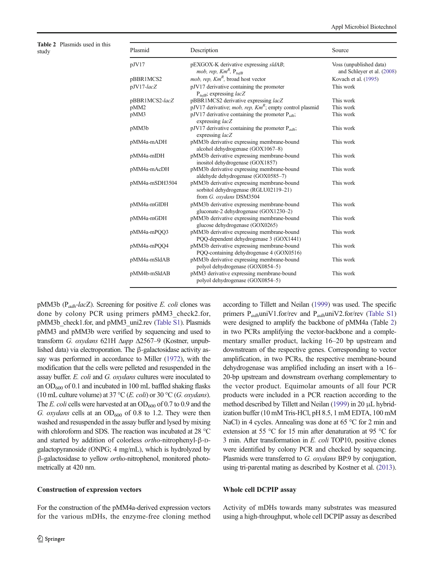<span id="page-3-0"></span>Table 2 Plasmids used in this

| Plasmid          | Description                                                                                                    | Source                                                                                                                                                                                                      |
|------------------|----------------------------------------------------------------------------------------------------------------|-------------------------------------------------------------------------------------------------------------------------------------------------------------------------------------------------------------|
| pJV17            | pEXGOX-K derivative expressing sldAB;                                                                          | Voss (unpublished data)<br>and Schleyer et al. (2008)                                                                                                                                                       |
|                  |                                                                                                                | Kovach et al. (1995)                                                                                                                                                                                        |
| pJV17-lacZ       | pJV17 derivative containing the promoter                                                                       | This work                                                                                                                                                                                                   |
|                  |                                                                                                                | This work                                                                                                                                                                                                   |
| pMM <sub>2</sub> | pJV17 derivative; <i>mob, rep, Km<sup>R</sup></i> ; empty control plasmid                                      | This work                                                                                                                                                                                                   |
| pMM3             | pJV17 derivative containing the promoter $P_{idh}$ ;<br>expressing lacZ                                        | This work                                                                                                                                                                                                   |
| pMM3b            | pJV17 derivative containing the promoter $P_{adh}$ ;                                                           | This work                                                                                                                                                                                                   |
| pMM4a-mADH       | pMM3b derivative expressing membrane-bound<br>alcohol dehydrogenase (GOX1067-8)                                | This work                                                                                                                                                                                                   |
| pMM4a-mIDH       | pMM3b derivative expressing membrane-bound                                                                     | This work                                                                                                                                                                                                   |
| pMM4a-mAcDH      | pMM3b derivative expressing membrane-bound<br>aldehyde dehydrogenase (GOX0585-7)                               | This work                                                                                                                                                                                                   |
| pMM4a-mSDH3504   | pMM3b derivative expressing membrane-bound<br>sorbitol dehydrogenase (RGLU02119-21)<br>from G. oxydans DSM3504 | This work                                                                                                                                                                                                   |
| pMM4a-mGlDH      | pMM3b derivative expressing membrane-bound<br>gluconate-2 dehydrogenase (GOX1230-2)                            | This work                                                                                                                                                                                                   |
| pMM4a-mGDH       | pMM3b derivative expressing membrane-bound<br>glucose dehydrogenase (GOX0265)                                  | This work                                                                                                                                                                                                   |
| pMM4a-mPOO3      | pMM3b derivative expressing membrane-bound<br>PQQ-dependent dehydrogenase 3 (GOX1441)                          | This work                                                                                                                                                                                                   |
| pMM4a-mPQQ4      | pMM3b derivative expressing membrane-bound<br>PQQ-containing dehydrogenase 4 (GOX0516)                         | This work                                                                                                                                                                                                   |
| pMM4a-mSldAB     | pMM3b derivative expressing membrane-bound<br>polyol dehydrogenase (GOX0854-5)                                 | This work                                                                                                                                                                                                   |
| pMM4b-mSldAB     | pMM3 derivative expressing membrane-bound<br>polyol dehydrogenase (GOX0854-5)                                  | This work                                                                                                                                                                                                   |
|                  | pBBR1MCS2<br>pBBR1MCS2-lacZ                                                                                    | mob, rep, $Km^R$ , $P_{tufB}$<br>mob, rep, $Km^R$ , broad host vector<br>$P_{tuff}$ ; expressing <i>lacZ</i><br>pBBR1MCS2 derivative expressing lacZ<br>expressing lacZ<br>inositol dehydrogenase (GOX1857) |

pMM3b ( $P_{adh}$ -lacZ). Screening for positive E. coli clones was done by colony PCR using primers pMM3\_check2.for, pMM3b\_check1.for, and pMM3\_uni2.rev (Table S1). Plasmids pMM3 and pMM3b were verified by sequencing and used to transform G. oxydans 621H Δupp Δ2567–9 (Kostner, unpublished data) via electroporation. The β-galactosidase activity assay was performed in accordance to Miller [\(1972\)](#page-10-0), with the modification that the cells were pelleted and resuspended in the assay buffer. E. coli and G. oxydans cultures were inoculated to an  $OD_{600}$  of 0.1 and incubated in 100 mL baffled shaking flasks (10 mL culture volume) at 37 °C (*E. coli*) or 30 °C (*G. oxydans*). The E. coli cells were harvested at an  $OD_{600}$  of 0.7 to 0.9 and the G.  $oxydans$  cells at an  $OD_{600}$  of 0.8 to 1.2. They were then washed and resuspended in the assay buffer and lysed by mixing with chloroform and SDS. The reaction was incubated at 28 °C and started by addition of colorless ortho-nitrophenyl-β-Dgalactopyranoside (ONPG; 4 mg/mL), which is hydrolyzed by β-galactosidase to yellow ortho-nitrophenol, monitored photometrically at 420 nm.

### Construction of expression vectors

For the construction of the pMM4a-derived expression vectors for the various mDHs, the enzyme-free cloning method according to Tillett and Neilan ([1999\)](#page-11-0) was used. The specific primers  $P_{adh}$ uniV1.for/rev and  $P_{adh}$ uniV2.for/rev (Table S1) were designed to amplify the backbone of pMM4a (Table 2) in two PCRs amplifying the vector-backbone and a complementary smaller product, lacking 16–20 bp upstream and downstream of the respective genes. Corresponding to vector amplification, in two PCRs, the respective membrane-bound dehydrogenase was amplified including an insert with a 16– 20-bp upstream and downstream overhang complementary to the vector product. Equimolar amounts of all four PCR products were included in a PCR reaction according to the method described by Tillett and Neilan [\(1999](#page-11-0)) in 20 μL hybridization buffer (10 mM Tris-HCl, pH 8.5, 1 mM EDTA, 100 mM NaCl) in 4 cycles. Annealing was done at 65 °C for 2 min and extension at 55 °C for 15 min after denaturation at 95 °C for 3 min. After transformation in E. coli TOP10, positive clones were identified by colony PCR and checked by sequencing. Plasmids were transferred to G. oxydans BP.9 by conjugation, using tri-parental mating as described by Kostner et al. ([2013\)](#page-10-0).

## Whole cell DCPIP assay

Activity of mDHs towards many substrates was measured using a high-throughput, whole cell DCPIP assay as described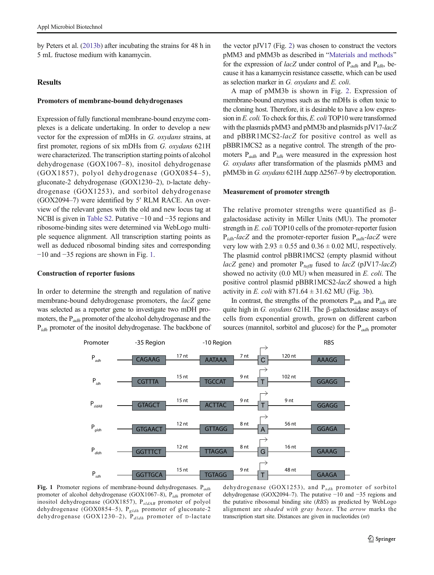<span id="page-4-0"></span>by Peters et al. [\(2013b\)](#page-10-0) after incubating the strains for 48 h in 5 mL fructose medium with kanamycin.

# **Results**

#### Promoters of membrane-bound dehydrogenases

Expression of fully functional membrane-bound enzyme complexes is a delicate undertaking. In order to develop a new vector for the expression of mDHs in G. oxydans strains, at first promoter, regions of six mDHs from G. oxydans 621H were characterized. The transcription starting points of alcohol dehydrogenase (GOX1067–8), inositol dehydrogenase (GOX1857), polyol dehydrogenase (GOX0854–5), gluconate-2 dehydrogenase (GOX1230–2), D-lactate dehydrogenase (GOX1253), and sorbitol dehydrogenase (GOX2094–7) were identified by 5′ RLM RACE. An overview of the relevant genes with the old and new locus tag at NCBI is given in Table S2. Putative −10 and −35 regions and ribosome-binding sites were determined via WebLogo multiple sequence alignment. All transcription starting points as well as deduced ribosomal binding sites and corresponding −10 and −35 regions are shown in Fig. 1.

#### Construction of reporter fusions

In order to determine the strength and regulation of native membrane-bound dehydrogenase promoters, the lacZ gene was selected as a reporter gene to investigate two mDH promoters, the  $P_{adh}$  promoter of the alcohol dehydrogenase and the P<sub>idh</sub> promoter of the inositol dehydrogenase. The backbone of

the vector pJV17 (Fig. [2](#page-5-0)) was chosen to construct the vectors pMM3 and pMM3b as described in "[Materials and methods](#page-1-0)" for the expression of *lacZ* under control of  $P_{adh}$  and  $P_{idh}$ , because it has a kanamycin resistance cassette, which can be used as selection marker in G. oxydans and E. coli.

A map of pMM3b is shown in Fig. [2.](#page-5-0) Expression of membrane-bound enzymes such as the mDHs is often toxic to the cloning host. Therefore, it is desirable to have a low expression in E. coli. To check for this, E. coli TOP10 were transformed with the plasmids pMM3 and pMM3b and plasmids pJV17-lacZ and pBBR1MCS2-lacZ for positive control as well as pBBR1MCS2 as a negative control. The strength of the promoters  $P_{adh}$  and  $P_{idh}$  were measured in the expression host G. oxydans after transformation of the plasmids pMM3 and pMM3b in G. oxydans 621H Δupp Δ2567–9 by electroporation.

## Measurement of promoter strength

The relative promoter strengths were quantified as  $\beta$ galactosidase activity in Miller Units (MU). The promoter strength in E. coli TOP10 cells of the promoter-reporter fusion  $P_{idh}$ -lacZ and the promoter-reporter fusion  $P_{adh}$ -lacZ were very low with  $2.93 \pm 0.55$  and  $0.36 \pm 0.02$  MU, respectively. The plasmid control pBBR1MCS2 (empty plasmid without lacZ gene) and promoter  $P_{tuff}$  fused to lacZ (pJV17-lacZ) showed no activity (0.0 MU) when measured in E. coli. The positive control plasmid pBBR1MCS2-lacZ showed a high activity in E. coli with  $871.64 \pm 31.62$  $871.64 \pm 31.62$  $871.64 \pm 31.62$  MU (Fig. 3b).

In contrast, the strengths of the promoters  $P_{adh}$  and  $P_{idh}$  are quite high in G. oxydans 621H. The β-galactosidase assays of cells from exponential growth, grown on different carbon sources (mannitol, sorbitol and glucose) for the  $P_{adh}$  promoter



Fig. 1 Promoter regions of membrane-bound dehydrogenases.  $P_{adh}$ promoter of alcohol dehydrogenase (GOX1067–8),  $P_{idh}$  promoter of inositol dehydrogenase (GOX1857),  $P_{sldAB}$  promoter of polyol dehydrogenase (GOX0854–5),  $P_{gldh}$  promoter of gluconate-2 dehydrogenase (GOX1230-2), P<sub>dldh</sub> promoter of D-lactate

dehydrogenase (GOX1253), and  $P_{sdh}$  promoter of sorbitol dehydrogenase (GOX2094–7). The putative −10 and −35 regions and the putative ribosomal binding site (RBS) as predicted by WebLogo alignment are shaded with gray boxes. The arrow marks the transcription start site. Distances are given in nucleotides (nt)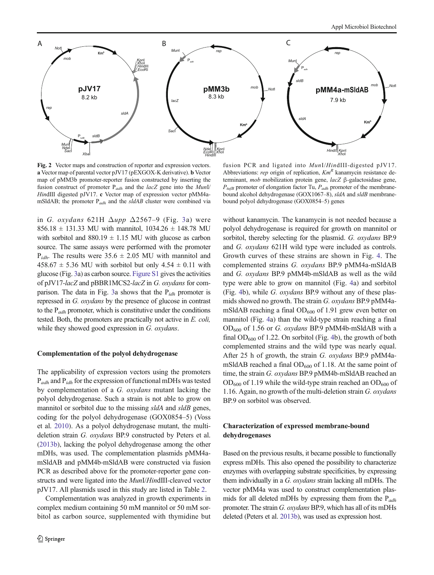<span id="page-5-0"></span>

Fig. 2 Vector maps and construction of reporter and expression vectors. a Vector map of parental vector pJV17 (pEXGOX-K derivative). b Vector map of pMM3b promoter-reporter fusion constructed by inserting the fusion construct of promoter  $P_{adh}$  and the lacZ gene into the MunI/ HindIII digested pJV17. c Vector map of expression vector pMM4amSldAB; the promoter  $P_{adh}$  and the sldAB cluster were combined via

fusion PCR and ligated into MunI/HindIII-digested pJV17. Abbreviations: rep origin of replication,  $Km<sup>R</sup>$  kanamycin resistance determinant, mob mobilization protein gene, lacZ β-galactosidase gene,  $P_{\text{tuff}}$  promoter of elongation factor Tu,  $P_{\text{adh}}$  promoter of the membranebound alcohol dehydrogenase (GOX1067–8), sldA and sldB membranebound polyol dehydrogenase (GOX0854–5) genes

in G. oxydans 621H  $\Delta upp \Delta2567-9$  (Fig. [3](#page-6-0)a) were  $856.18 \pm 131.33$  MU with mannitol,  $1034.26 \pm 148.78$  MU with sorbitol and  $880.19 \pm 1.15$  MU with glucose as carbon source. The same assays were performed with the promoter  $P_{idh}$ . The results were 35.6  $\pm$  2.05 MU with mannitol and  $458.67 \pm 5.36$  MU with sorbitol but only  $4.54 \pm 0.11$  with glucose (Fig. [3](#page-6-0)a) as carbon source. Figure S1 gives the activities of pJV17-lacZ and pBBR1MCS2-lacZ in G. oxydans for com-parison. The data in Fig. [3a](#page-6-0) shows that the  $P_{idh}$  promoter is repressed in G. oxydans by the presence of glucose in contrast to the  $P_{adh}$  promoter, which is constitutive under the conditions tested. Both, the promoters are practically not active in E. coli, while they showed good expression in G. oxydans.

## Complementation of the polyol dehydrogenase

The applicability of expression vectors using the promoters  $P_{adh}$  and  $P_{idh}$  for the expression of functional mDHs was tested by complementation of a G. oxydans mutant lacking the polyol dehydrogenase. Such a strain is not able to grow on mannitol or sorbitol due to the missing sldA and sldB genes, coding for the polyol dehydrogenase (GOX0854–5) (Voss et al. [2010](#page-11-0)). As a polyol dehydrogenase mutant, the multideletion strain G. oxydans BP.9 constructed by Peters et al. [\(2013b\)](#page-10-0), lacking the polyol dehydrogenase among the other mDHs, was used. The complementation plasmids pMM4amSldAB and pMM4b-mSldAB were constructed via fusion PCR as described above for the promoter-reporter gene constructs and were ligated into the MunI/HindIII-cleaved vector pJV17. All plasmids used in this study are listed in Table [2](#page-3-0).

Complementation was analyzed in growth experiments in complex medium containing 50 mM mannitol or 50 mM sorbitol as carbon source, supplemented with thymidine but

without kanamycin. The kanamycin is not needed because a polyol dehydrogenase is required for growth on mannitol or sorbitol, thereby selecting for the plasmid. G. oxydans BP.9 and G. oxydans 621H wild type were included as controls. Growth curves of these strains are shown in Fig. [4](#page-6-0). The complemented strains G. oxydans BP.9 pMM4a-mSldAB and G. oxydans BP.9 pMM4b-mSldAB as well as the wild type were able to grow on mannitol (Fig. [4a](#page-6-0)) and sorbitol (Fig. [4b](#page-6-0)), while G. oxydans BP.9 without any of these plasmids showed no growth. The strain G. oxydans BP.9 pMM4amSldAB reaching a final  $OD_{600}$  of 1.91 grew even better on mannitol (Fig. [4a](#page-6-0)) than the wild-type strain reaching a final OD600 of 1.56 or G. oxydans BP.9 pMM4b-mSldAB with a final  $OD_{600}$  of 1.22. On sorbitol (Fig. [4b](#page-6-0)), the growth of both complemented strains and the wild type was nearly equal. After 25 h of growth, the strain G. oxydans BP.9 pMM4amSldAB reached a final  $OD_{600}$  of 1.18. At the same point of time, the strain G. oxydans BP.9 pMM4b-mSldAB reached an  $OD_{600}$  of 1.19 while the wild-type strain reached an  $OD_{600}$  of 1.16. Again, no growth of the multi-deletion strain G. oxydans BP.9 on sorbitol was observed.

# Characterization of expressed membrane-bound dehydrogenases

Based on the previous results, it became possible to functionally express mDHs. This also opened the possibility to characterize enzymes with overlapping substrate specificities, by expressing them individually in a G. oxydans strain lacking all mDHs. The vector pMM4a was used to construct complementation plasmids for all deleted mDHs by expressing them from the  $P_{adh}$ promoter. The strain G. oxydans BP.9, which has all of its mDHs deleted (Peters et al. [2013b](#page-10-0)), was used as expression host.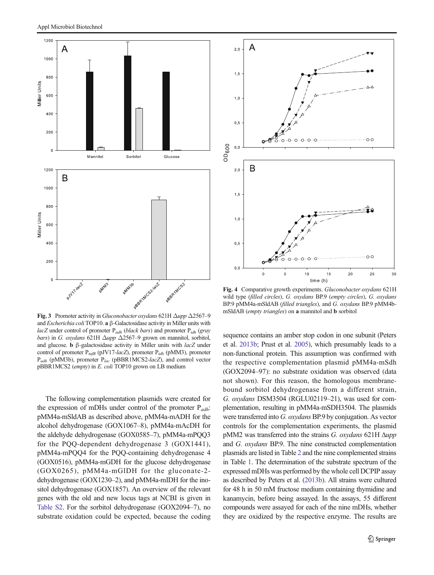<span id="page-6-0"></span>

and *Escherichia coli* TOP10. **a** β-Galactosidase activity in Miller units with lacZ under control of promoter  $P_{adh}$  (black bars) and promoter  $P_{idh}$  (gray bars) in G. oxydans 621H  $\Delta upp \Delta 2567–9$  grown on mannitol, sorbitol, and glucose. **b**  $\beta$ -galactosidase activity in Miller units with *lacZ* under control of promoter  $P_{tuff}$  (pJV17-lacZ), promoter  $P_{idh}$  (pMM3), promoter  $P_{adh}$  (pMM3b), promoter  $P_{lac}$  (pBBR1MCS2-lacZ), and control vector pBBR1MCS2 (empty) in E. coli TOP10 grown on LB medium

The following complementation plasmids were created for the expression of mDHs under control of the promoter  $P_{adh}$ : pMM4a-mSldAB as described above, pMM4a-mADH for the alcohol dehydrogenase (GOX1067–8), pMM4a-mAcDH for the aldehyde dehydrogenase (GOX0585–7), pMM4a-mPQQ3 for the PQQ-dependent dehydrogenase 3 (GOX1441), pMM4a-mPQQ4 for the PQQ-containing dehydrogenase 4 (GOX0516), pMM4a-mGDH for the glucose dehydrogenase (GOX0265), pMM4a-mGlDH for the gluconate-2 dehydrogenase (GOX1230–2), and pMM4a-mIDH for the inositol dehydrogenase (GOX1857). An overview of the relevant genes with the old and new locus tags at NCBI is given in Table S2. For the sorbitol dehydrogenase (GOX2094–7), no substrate oxidation could be expected, because the coding



Fig. 4 Comparative growth experiments. Gluconobacter oxydans 621H wild type (filled circles), G. oxydans BP.9 (empty circles), G. oxydans BP.9 pMM4a-mSldAB (filled triangles), and G. oxydans BP.9 pMM4bmSldAB (empty triangles) on a mannitol and b sorbitol

sequence contains an amber stop codon in one subunit (Peters et al. [2013b;](#page-10-0) Prust et al. [2005](#page-10-0)), which presumably leads to a non-functional protein. This assumption was confirmed with the respective complementation plasmid pMM4a-mSdh (GOX2094–97): no substrate oxidation was observed (data not shown). For this reason, the homologous membranebound sorbitol dehydrogenase from a different strain, G. oxydans DSM3504 (RGLU02119–21), was used for complementation, resulting in pMM4a-mSDH3504. The plasmids were transferred into G. oxydans BP.9 by conjugation. As vector controls for the complementation experiments, the plasmid pMM2 was transferred into the strains G. oxydans 621H Δupp and G. oxydans BP.9. The nine constructed complementation plasmids are listed in Table [2](#page-3-0) and the nine complemented strains in Table [1.](#page-2-0) The determination of the substrate spectrum of the expressed mDHs was performed by the whole cell DCPIP assay as described by Peters et al. [\(2013b](#page-10-0)). All strains were cultured for 48 h in 50 mM fructose medium containing thymidine and kanamycin, before being assayed. In the assays, 55 different compounds were assayed for each of the nine mDHs, whether they are oxidized by the respective enzyme. The results are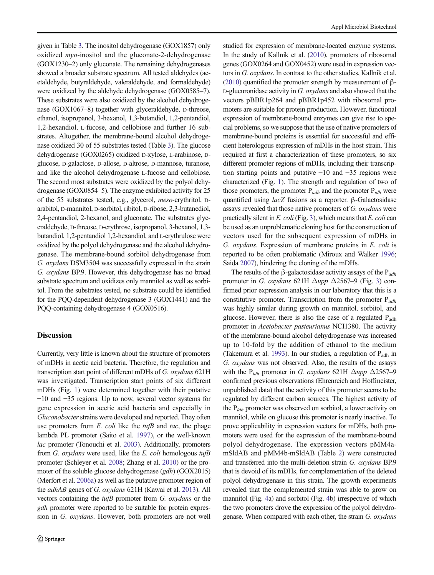given in Table [3](#page-8-0). The inositol dehydrogenase (GOX1857) only oxidized myo-inositol and the gluconate-2-dehydrogenase (GOX1230–2) only gluconate. The remaining dehydrogenases showed a broader substrate spectrum. All tested aldehydes (acetaldehyde, butyraldehyde, valeraldehyde, and formaldehyde) were oxidized by the aldehyde dehydrogenase (GOX0585–7). These substrates were also oxidized by the alcohol dehydrogenase (GOX1067–8) together with glyceraldehyde, p-threose, ethanol, isopropanol, 3-hexanol, 1,3-butandiol, 1,2-pentandiol, 1,2-hexandiol, L-fucose, and cellobiose and further 16 substrates. Altogether, the membrane-bound alcohol dehydrogenase oxidized 30 of 55 substrates tested (Table [3\)](#page-8-0). The glucose dehydrogenase (GOX0265) oxidized D-xylose, L-arabinose, Dglucose, D-galactose, D-allose, D-altrose, D-mannose, turanose, and like the alcohol dehydrogenase L-fucose and cellobiose. The second most substrates were oxidized by the polyol dehydrogenase (GOX0854–5). The enzyme exhibited activity for 25 of the 55 substrates tested, e.g., glycerol, meso-erythritol, Darabitol, D-mannitol, D-sorbitol, ribitol, D-ribose, 2,3-butanediol, 2,4-pentandiol, 2-hexanol, and gluconate. The substrates glyceraldehyde, D-threose, D-erythrose, isopropanol, 3-hexanol, 1,3 butandiol, 1,2-pentandiol 1,2-hexandiol, and L-erythrulose were oxidized by the polyol dehydrogenase and the alcohol dehydrogenase. The membrane-bound sorbitol dehydrogenase from G. oxydans DSM3504 was successfully expressed in the strain G. oxydans BP.9. However, this dehydrogenase has no broad substrate spectrum and oxidizes only mannitol as well as sorbitol. From the substrates tested, no substrate could be identified for the PQQ-dependent dehydrogenase 3 (GOX1441) and the PQQ-containing dehydrogenase 4 (GOX0516).

## **Discussion**

Currently, very little is known about the structure of promoters of mDHs in acetic acid bacteria. Therefore, the regulation and transcription start point of different mDHs of G. oxydans 621H was investigated. Transcription start points of six different mDHs (Fig. [1\)](#page-4-0) were determined together with their putative −10 and −35 regions. Up to now, several vector systems for gene expression in acetic acid bacteria and especially in Gluconobacter strains were developed and reported. They often use promoters from  $E$ . *coli* like the  $tu/IB$  and  $tac$ , the phage lambda PL promoter (Saito et al. [1997\)](#page-11-0), or the well-known lac promoter (Tonouchi et al. [2003\)](#page-11-0). Additionally, promoters from G. oxydans were used, like the E. coli homologous  $tu/BB$ promoter (Schleyer et al. [2008](#page-11-0); Zhang et al. [2010](#page-11-0)) or the promoter of the soluble glucose dehydrogenase (gdh) (GOX2015) (Merfort et al. [2006a\)](#page-10-0) as well as the putative promoter region of the adhAB genes of G. oxydans 621H (Kawai et al. [2013\)](#page-10-0). All vectors containing the  $tufB$  promoter from  $G$ . oxydans or the gdh promoter were reported to be suitable for protein expression in G. oxydans. However, both promoters are not well studied for expression of membrane-located enzyme systems. In the study of Kallnik et al. [\(2010](#page-10-0)), promoters of ribosomal genes (GOX0264 and GOX0452) were used in expression vectors in G. oxydans. In contrast to the other studies, Kallnik et al. [\(2010](#page-10-0)) quantified the promoter strength by measurement of β-D-glucuronidase activity in G. oxydans and also showed that the vectors pBBR1p264 and pBBR1p452 with ribosomal promoters are suitable for protein production. However, functional expression of membrane-bound enzymes can give rise to special problems, so we suppose that the use of native promoters of membrane-bound proteins is essential for successful and efficient heterologous expression of mDHs in the host strain. This required at first a characterization of these promoters, so six different promoter regions of mDHs, including their transcription starting points and putative −10 and −35 regions were characterized (Fig. [1](#page-4-0)). The strength and regulation of two of those promoters, the promoter  $P_{adh}$  and the promoter  $P_{idh}$  were quantified using lacZ fusions as a reporter. β-Galactosidase assays revealed that those native promoters of G. oxydans were practically silent in E. coli (Fig. [3\)](#page-6-0), which means that E. coli can be used as an unproblematic cloning host for the construction of vectors used for the subsequent expression of mDHs in G. oxydans. Expression of membrane proteins in E. coli is reported to be often problematic (Miroux and Walker [1996;](#page-10-0) Saida [2007\)](#page-10-0), hindering the cloning of the mDHs.

The results of the  $\beta$ -galactosidase activity assays of the P<sub>adh</sub> promoter in G. oxydans 621H  $\Delta upp \Delta 2567-9$  (Fig. [3\)](#page-6-0) confirmed prior expression analysis in our laboratory that this is a constitutive promoter. Transcription from the promoter  $P_{adh}$ was highly similar during growth on mannitol, sorbitol, and glucose. However, there is also the case of a regulated  $P_{\text{adh}}$ promoter in Acetobacter pasteurianus NCI1380. The activity of the membrane-bound alcohol dehydrogenase was increased up to 10-fold by the addition of ethanol to the medium (Takemura et al. [1993](#page-11-0)). In our studies, a regulation of  $P_{\text{adh}}$  in G. oxydans was not observed. Also, the results of the assays with the P<sub>idh</sub> promoter in G. oxydans 621H  $\Delta upp \Delta 2567-9$ confirmed previous observations (Ehrenreich and Hoffmeister, unpublished data) that the activity of this promoter seems to be regulated by different carbon sources. The highest activity of the  $P_{idh}$  promoter was observed on sorbitol, a lower activity on mannitol, while on glucose this promoter is nearly inactive. To prove applicability in expression vectors for mDHs, both promoters were used for the expression of the membrane-bound polyol dehydrogenase. The expression vectors pMM4amSldAB and pMM4b-mSldAB (Table [2\)](#page-3-0) were constructed and transferred into the multi-deletion strain G. oxydans BP.9 that is devoid of its mDHs, for complementation of the deleted polyol dehydrogenase in this strain. The growth experiments revealed that the complemented strain was able to grow on mannitol (Fig. [4](#page-6-0)a) and sorbitol (Fig. [4b](#page-6-0)) irrespective of which the two promoters drove the expression of the polyol dehydrogenase. When compared with each other, the strain G. oxydans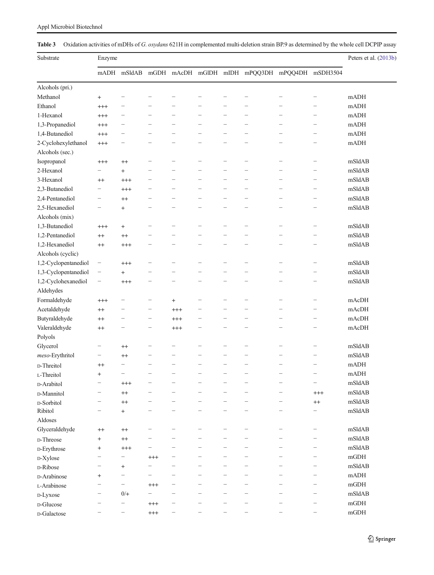<span id="page-8-0"></span>

|  |  | Appl Microbiol Biotechnol |
|--|--|---------------------------|
|--|--|---------------------------|

Table 3 Oxidation activities of mDHs of G. oxydans 621H in complemented multi-deletion strain BP.9 as determined by the whole cell DCPIP assay

| Substrate            | Enzyme                   |                          |                          |                          |                          |                          |                                                |                          | Peters et al. (2013b)    |             |
|----------------------|--------------------------|--------------------------|--------------------------|--------------------------|--------------------------|--------------------------|------------------------------------------------|--------------------------|--------------------------|-------------|
|                      |                          | mADH mSldAB              |                          |                          |                          |                          | mGDH mAcDH mGlDH mIDH mPQQ3DH mPQQ4DH mSDH3504 |                          |                          |             |
| Alcohols (pri.)      |                          |                          |                          |                          |                          |                          |                                                |                          |                          |             |
| Methanol             | $\ddot{}$                |                          |                          |                          |                          |                          |                                                |                          |                          | mADH        |
| Ethanol              | $^{+++}$                 |                          |                          |                          |                          |                          |                                                |                          |                          | mADH        |
| 1-Hexanol            | $^{+++}$                 | $\overline{\phantom{0}}$ | $\overline{\phantom{0}}$ | $\equiv$                 | $\overline{\phantom{0}}$ | $\overline{\phantom{0}}$ | $\overline{\phantom{a}}$                       |                          |                          | mADH        |
| 1,3-Propanediol      | $^{+++}$                 |                          | $\overline{\phantom{0}}$ | $\overline{\phantom{0}}$ |                          |                          |                                                |                          |                          | mADH        |
| 1,4-Butanediol       | $^{+++}$                 |                          | $\overline{\phantom{0}}$ | $\overline{\phantom{0}}$ |                          | $\overline{\phantom{0}}$ |                                                |                          | $\overline{\phantom{0}}$ | mADH        |
| 2-Cyclohexylethanol  | $^{+++}$                 |                          | $\overline{\phantom{0}}$ | —                        | —                        | $\overline{\phantom{0}}$ |                                                | -                        | $\overline{\phantom{m}}$ | mADH        |
| Alcohols (sec.)      |                          |                          |                          |                          |                          |                          |                                                |                          |                          |             |
| Isopropanol          | $^{+++}$                 | $^{++}$                  | -                        | —                        | -                        | $\overline{\phantom{0}}$ | $\overline{\phantom{0}}$                       | $\overline{\phantom{0}}$ |                          | mSldAB      |
| 2-Hexanol            | $\overline{\phantom{0}}$ | $^{+}$                   | $\overline{\phantom{0}}$ | $\overline{\phantom{0}}$ | $\overline{\phantom{0}}$ | $\overline{\phantom{0}}$ | $\overline{\phantom{0}}$                       | $\overline{\phantom{0}}$ | $\overline{\phantom{a}}$ | mSldAB      |
| 3-Hexanol            | $^{++}$                  | $^{+++}$                 | $\overline{\phantom{0}}$ | $\overline{\phantom{0}}$ | $\overline{\phantom{0}}$ | $\overline{\phantom{0}}$ | $\overline{\phantom{0}}$                       |                          | $\overline{\phantom{0}}$ | mSldAB      |
| 2,3-Butanediol       | $\overline{\phantom{0}}$ | $^{+++}$                 | $\overline{\phantom{0}}$ |                          |                          | $\overline{\phantom{0}}$ | $\overline{\phantom{0}}$                       |                          | $\overline{\phantom{0}}$ | mSldAB      |
| 2,4-Pentanediol      | $\overline{\phantom{0}}$ | $^{++}$                  | $\overline{\phantom{0}}$ |                          |                          | $\overline{\phantom{0}}$ | $\overline{\phantom{a}}$                       |                          | $\overline{\phantom{a}}$ | mSldAB      |
| 2,5-Hexanediol       |                          | $^{+}$                   |                          |                          |                          |                          |                                                |                          |                          | mSldAB      |
| Alcohols (mix)       |                          |                          |                          |                          |                          |                          |                                                |                          |                          |             |
| 1.3-Butanediol       | $^{+++}$                 | $\ddot{}$                |                          |                          |                          |                          |                                                | $\overline{\phantom{0}}$ |                          | mSldAB      |
| 1,2-Pentanediol      | $^{++}$                  | $^{++}$                  |                          |                          |                          |                          |                                                |                          |                          | mSldAB      |
| 1,2-Hexanediol       | $^{++}$                  | $^{+++}$                 | $\overline{\phantom{0}}$ | —                        | $\overline{\phantom{0}}$ | $\overline{\phantom{0}}$ | $\overline{\phantom{0}}$                       | $\overline{\phantom{0}}$ | $\overline{\phantom{0}}$ | mSldAB      |
| Alcohols (cyclic)    |                          |                          |                          |                          |                          |                          |                                                |                          |                          |             |
| 1,2-Cyclopentanediol | —                        | $^{+++}$                 | $\overline{\phantom{0}}$ | $\overline{\phantom{0}}$ |                          |                          |                                                | $\overline{\phantom{0}}$ | $\overline{\phantom{0}}$ | mSldAB      |
| 1,3-Cyclopentanediol | $\overline{\phantom{0}}$ | $^{+}$                   | $\overline{\phantom{0}}$ | $\overline{\phantom{0}}$ | $\overline{\phantom{0}}$ | $\overline{\phantom{a}}$ | $\sim$                                         | $\overline{\phantom{0}}$ | $\overline{\phantom{a}}$ | mSldAB      |
| 1,2-Cyclohexanediol  | $\overline{\phantom{0}}$ | $^{+++}$                 | -                        | $\overline{\phantom{0}}$ |                          |                          |                                                | $\overline{\phantom{0}}$ | $\overline{\phantom{0}}$ | mSldAB      |
| Aldehydes            |                          |                          |                          |                          |                          |                          |                                                |                          |                          |             |
| Formaldehyde         | $^{+++}$                 | —                        | -                        | $^{+}$                   |                          |                          |                                                |                          |                          | mAcDH       |
| Acetaldehyde         | $^{++}$                  |                          | -                        | $^{+++}$                 |                          |                          |                                                |                          | $\overline{\phantom{0}}$ | mAcDH       |
| Butyraldehyde        | $^{++}$                  | —                        | $\overline{\phantom{0}}$ | $^{+++}$                 | $\overline{\phantom{0}}$ | $\overline{\phantom{0}}$ | $\overline{\phantom{a}}$                       | $\overline{\phantom{0}}$ |                          | mAcDH       |
| Valeraldehyde        | $^{++}$                  | $\overline{\phantom{0}}$ | $\overline{\phantom{0}}$ | $^{+++}$                 | $\overline{\phantom{0}}$ | $\overline{\phantom{0}}$ | $\overline{\phantom{a}}$                       | $\overline{\phantom{0}}$ | $\frac{1}{2}$            | mAcDH       |
| Polyols              |                          |                          |                          |                          |                          |                          |                                                |                          |                          |             |
| Glycerol             | $\overline{\phantom{0}}$ | $^{++}$                  | $\overline{\phantom{0}}$ | —                        |                          | $\overline{\phantom{0}}$ | $\overline{\phantom{a}}$                       | $\overline{\phantom{0}}$ | $\overline{\phantom{0}}$ | mSldAB      |
| meso-Erythritol      | -                        | $^{++}$                  | $\overline{\phantom{0}}$ | $\overline{\phantom{0}}$ |                          |                          | $\overline{\phantom{0}}$                       |                          |                          | mSldAB      |
| D-Threitol           | $^{++}$                  |                          | $\overline{\phantom{0}}$ |                          |                          |                          |                                                | $\overline{\phantom{0}}$ |                          | mADH        |
| L-Threitol           | $\ddot{}$                |                          |                          |                          |                          |                          |                                                |                          |                          | mADH        |
| D-Arabitol           |                          | $^{+++}$                 |                          |                          |                          |                          |                                                | $\overline{\phantom{0}}$ | $\qquad \qquad -$        | mSldAB      |
| D-Mannitol           |                          | $^{++}$                  |                          |                          |                          |                          |                                                |                          | $^{+++}$                 | mSldAB      |
| D-Sorbitol           |                          | $^{++}$                  | -                        |                          |                          | $\overline{\phantom{0}}$ |                                                |                          | $^{++}$                  | mSldAB      |
| Ribitol              |                          | $^{+}$                   |                          |                          |                          |                          |                                                |                          |                          | mSldAB      |
| Aldoses              |                          |                          |                          |                          |                          |                          |                                                |                          |                          |             |
| Glyceraldehyde       | $^{++}$                  | $^{++}$                  | $\overline{\phantom{0}}$ |                          | $\equiv$                 | $\overline{\phantom{0}}$ | $\overline{\phantom{0}}$                       | -                        | $\overline{\phantom{m}}$ | mSldAB      |
| D-Threose            | $^{+}$                   | $^{++}$                  |                          |                          |                          |                          |                                                |                          | $\qquad \qquad -$        | mSldAB      |
| D-Erythrose          | $^{+}$                   | $^{+++}$                 |                          |                          |                          |                          |                                                | $\overline{\phantom{0}}$ | $\overline{\phantom{m}}$ | mSldAB      |
| D-Xylose             | -                        | -                        | $^{+++}$                 |                          |                          |                          |                                                |                          | $\overline{\phantom{m}}$ | $\rm{mGDH}$ |
| D-Ribose             | $\overline{\phantom{0}}$ | $^{+}$                   | $\overline{\phantom{0}}$ |                          |                          |                          |                                                | $\overline{\phantom{0}}$ | $\overline{\phantom{m}}$ | mSldAB      |
| D-Arabinose          | $\ddot{}$                | $\qquad \qquad -$        |                          |                          |                          | $\overline{\phantom{0}}$ |                                                |                          | $\overline{\phantom{m}}$ | mADH        |
| L-Arabinose          |                          | $\qquad \qquad -$        | $^{+++}$                 | -                        |                          | $\overline{\phantom{0}}$ | ÷                                              |                          | $\frac{1}{2}$            | mGDH        |
| D-Lyxose             |                          | $0/+$                    |                          |                          |                          |                          |                                                |                          |                          | mSldAB      |
| D-Glucose            |                          | —                        | $^{+++}$                 | $\overline{\phantom{0}}$ |                          |                          |                                                | $\overline{\phantom{0}}$ | $\overline{\phantom{0}}$ | $\rm{mGDH}$ |
| D-Galactose          |                          | -                        | $^{+++}$                 | -                        |                          |                          | $\overline{\phantom{0}}$                       |                          |                          | $\rm{mGDH}$ |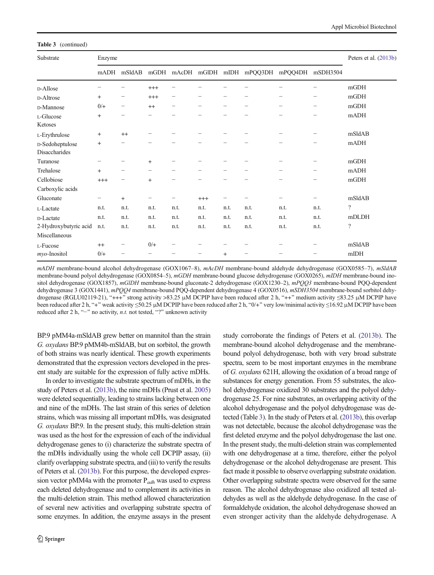Table 3 (continued)

| Substrate                        | Enzyme                   |           |                          |      |          |                          |                                                |                          |                                | Peters et al. (2013b)    |
|----------------------------------|--------------------------|-----------|--------------------------|------|----------|--------------------------|------------------------------------------------|--------------------------|--------------------------------|--------------------------|
|                                  | mADH                     | mSldAB    |                          |      |          |                          | mGDH mAcDH mGlDH mIDH mPQQ3DH mPQQ4DH mSDH3504 |                          |                                |                          |
| D-Allose                         | $\overline{\phantom{0}}$ |           | $^{+++}$                 |      |          |                          |                                                |                          |                                | mGDH                     |
| <b>D-Altrose</b>                 | $^{+}$                   | -         | $^{+++}$                 | -    |          |                          |                                                | -                        |                                | mGDH                     |
| D-Mannose                        | $0/+$                    | -         | $^{++}$                  | -    |          | -                        |                                                |                          | $\qquad \qquad \longleftarrow$ | mGDH                     |
| L-Glucose<br>Ketoses             | $+$                      | -         | $\overline{\phantom{0}}$ |      |          |                          |                                                |                          | $\overline{\phantom{0}}$       | mADH                     |
| L-Erythrulose                    | $^{+}$                   | $++$      |                          |      |          |                          |                                                |                          |                                | mSldAB                   |
| D-Sedoheptulose<br>Disaccharides | $^{+}$                   | -         |                          |      |          |                          |                                                |                          | $\overline{\phantom{0}}$       | mADH                     |
| Turanose                         | $\overline{\phantom{0}}$ |           | $+$                      | —    |          |                          |                                                | $\overline{\phantom{m}}$ |                                | mGDH                     |
| Trehalose                        | $+$                      |           | $\overline{\phantom{m}}$ | -    |          | $\overline{\phantom{0}}$ |                                                | $\overline{\phantom{0}}$ | $\overline{\phantom{0}}$       | mADH                     |
| Cellobiose                       | $^{+++}$                 |           | $+$                      |      |          |                          |                                                |                          |                                | mGDH                     |
| Carboxylic acids                 |                          |           |                          |      |          |                          |                                                |                          |                                |                          |
| Gluconate                        | $\qquad \qquad -$        | $\ddot{}$ |                          |      | $^{+++}$ |                          |                                                | -                        |                                | mSldAB                   |
| L-Lactate                        | n.t.                     | n.t.      | n.t.                     | n.t. | n.t.     | n.t.                     | n.t.                                           | n.t.                     | n.t.                           | $\overline{?}$           |
| D-Lactate                        | n.t.                     | n.t.      | n.t.                     | n.t. | n.t.     | n.t.                     | n.t.                                           | n.t.                     | n.t.                           | mDLDH                    |
| 2-Hydroxybutyric acid            | n.t.                     | n.t.      | n.t.                     | n.t. | n.t.     | n.t.                     | n.t.                                           | n.t.                     | n.t.                           | $\overline{\mathcal{L}}$ |
| Miscellaneous                    |                          |           |                          |      |          |                          |                                                |                          |                                |                          |
| L-Fucose                         | $++$                     | -         | $0/+$                    |      |          |                          |                                                |                          |                                | mSldAB                   |
| $myo$ -Inositol                  | $0/+$                    | -         | $\equiv$                 |      |          | $+$                      | -                                              |                          |                                | mIDH                     |

mADH membrane-bound alcohol dehydrogenase (GOX1067–8), mAcDH membrane-bound aldehyde dehydrogenase (GOX0585–7), mSldAB membrane-bound polyol dehydrogenase (GOX0854–5), mGDH membrane-bound glucose dehydrogenase (GOX0265), mIDH membrane-bound inositol dehydrogenase (GOX1857), mGlDH membrane-bound gluconate-2 dehydrogenase (GOX1230-2), mPQQ3 membrane-bound PQQ-dependent dehydrogenase 3 (GOX1441), mPQQ4 membrane-bound PQQ-dependent dehydrogenase 4 (GOX0516), mSDH3504 membrane-bound sorbitol dehydrogenase (RGLU02119-21), "+++" strong activity >83.25 μM DCPIP have been reduced after 2 h, "++" medium activity ≤83.25 μM DCPIP have been reduced after 2 h, "+" weak activity ≤50.25 μM DCPIP have been reduced after 2 h, "0/+" very low/minimal activity ≤16.92 μM DCPIP have been reduced after 2 h, " $-$ " no activity, *n.t.* not tested, "?" unknown activity

BP.9 pMM4a-mSldAB grew better on mannitol than the strain G. oxydans BP.9 pMM4b-mSldAB, but on sorbitol, the growth of both strains was nearly identical. These growth experiments demonstrated that the expression vectors developed in the present study are suitable for the expression of fully active mDHs.

In order to investigate the substrate spectrum of mDHs, in the study of Peters et al. ([2013b](#page-10-0)), the nine mDHs (Prust et al. [2005\)](#page-10-0) were deleted sequentially, leading to strains lacking between one and nine of the mDHs. The last strain of this series of deletion strains, which was missing all important mDHs, was designated G. oxydans BP.9. In the present study, this multi-deletion strain was used as the host for the expression of each of the individual dehydrogenase genes to (i) characterize the substrate spectra of the mDHs individually using the whole cell DCPIP assay, (ii) clarify overlapping substrate spectra, and (iii) to verify the results of Peters et al. ([2013b](#page-10-0)). For this purpose, the developed expression vector pMM4a with the promoter  $P_{adh}$  was used to express each deleted dehydrogenase and to complement its activities in the multi-deletion strain. This method allowed characterization of several new activities and overlapping substrate spectra of some enzymes. In addition, the enzyme assays in the present study corroborate the findings of Peters et al. [\(2013b\)](#page-10-0). The membrane-bound alcohol dehydrogenase and the membranebound polyol dehydrogenase, both with very broad substrate spectra, seem to be most important enzymes in the membrane of G. oxydans 621H, allowing the oxidation of a broad range of substances for energy generation. From 55 substrates, the alcohol dehydrogenase oxidized 30 substrates and the polyol dehydrogenase 25. For nine substrates, an overlapping activity of the alcohol dehydrogenase and the polyol dehydrogenase was detected (Table [3\)](#page-8-0). In the study of Peters et al. [\(2013b\)](#page-10-0), this overlap was not detectable, because the alcohol dehydrogenase was the first deleted enzyme and the polyol dehydrogenase the last one. In the present study, the multi-deletion strain was complemented with one dehydrogenase at a time, therefore, either the polyol dehydrogenase or the alcohol dehydrogenase are present. This fact made it possible to observe overlapping substrate oxidation. Other overlapping substrate spectra were observed for the same reason. The alcohol dehydrogenase also oxidized all tested aldehydes as well as the aldehyde dehydrogenase. In the case of formaldehyde oxidation, the alcohol dehydrogenase showed an even stronger activity than the aldehyde dehydrogenase. A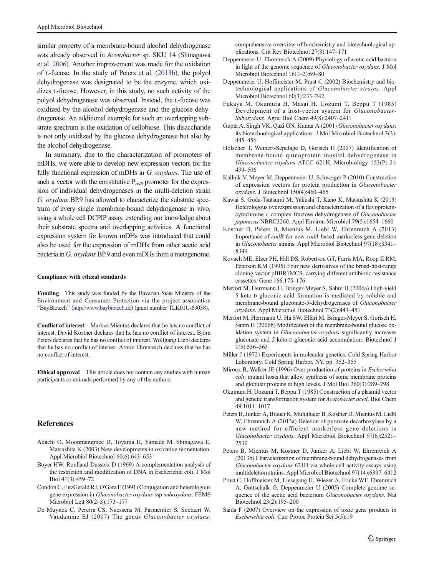<span id="page-10-0"></span>similar property of a membrane-bound alcohol dehydrogenase was already observed in Acetobacter sp. SKU 14 (Shinagawa et al. [2006\)](#page-11-0). Another improvement was made for the oxidation of L-fucose. In the study of Peters et al. (2013b), the polyol dehydrogenase was designated to be the enzyme, which oxidizes L-fucose. However, in this study, no such activity of the polyol dehydrogenase was observed. Instead, the L-fucose was oxidized by the alcohol dehydrogenase and the glucose dehydrogenase. An additional example for such an overlapping substrate spectrum is the oxidation of cellobiose. This disaccharide is not only oxidized by the glucose dehydrogenase but also by the alcohol dehydrogenase.

In summary, due to the characterization of promoters of mDHs, we were able to develop new expression vectors for the fully functional expression of mDHs in G. oxydans. The use of such a vector with the constitutive  $P_{adh}$  promoter for the expression of individual dehydrogenases in the multi-deletion strain G. oxydans BP.9 has allowed to characterize the substrate spectrum of every single membrane-bound dehydrogenase in vivo, using a whole cell DCPIP assay, extending our knowledge about their substrate spectra and overlapping activities. A functional expression system for known mDHs was introduced that could also be used for the expression of mDHs from other acetic acid bacteria in G. oxydans BP.9 and even mDHs from a metagenome.

#### Compliance with ethical standards

Funding This study was funded by the Bavarian State Ministry of the Environment and Consumer Protection via the project association "BayBiotech" (<http://www.baybiotech.de>) (grant number TLK01U-69038).

Conflict of interest Markus Mientus declares that he has no conflict of interest. David Kostner declares that he has no conflict of interest. Björn Peters declares that he has no conflict of interest. Wolfgang Liebl declares that he has no conflict of interest. Armin Ehrenreich declares that he has no conflict of interest.

Ethical approval This article does not contain any studies with human participants or animals performed by any of the authors.

### References

- Adachi O, Moonmangmee D, Toyama H, Yamada M, Shinagawa E, Matsushita K (2003) New developments in oxidative fermentation. Appl Microbiol Biotechnol 60(6):643–653
- Boyer HW, Roulland-Dussoix D (1969) A complementation analysis of the restriction and modification of DNA in Escherichia coli. J Mol Biol 41(3):459–72
- Condon C, FitzGerald RJ, O'Gara F (1991) Conjugation and heterologous gene expression in Gluconobacter oxydans ssp suboxydans. FEMS Microbiol Lett 80(2–3):173–177
- De Muynck C, Pereira CS, Naessens M, Parmentier S, Soetaert W, Vandamme EJ (2007) The genus Gluconobacter oxydans:

comprehensive overview of biochemistry and biotechnological applications. Crit Rev Biotechnol 27(3):147–171

- Deppenmeier U, Ehrenreich A (2009) Physiology of acetic acid bacteria in light of the genome sequence of Gluconobacter oxydans. J Mol Microbiol Biotechnol 16(1–2):69–80
- Deppenmeier U, Hoffmeister M, Prust C (2002) Biochemistry and biotechnological applications of Gluconobacter strains. Appl Microbiol Biotechnol 60(3):233–242
- Fukaya M, Okumura H, Masai H, Uozumi T, Beppu T (1985) Development of a host-vector system for Gluconobacter-Suboxydans. Agric Biol Chem 49(8):2407–2411
- Gupta A, Singh VK, Qazi GN, Kumar A (2001) Gluconobacter oxydans: its biotechnological applications. J Mol Microbiol Biotechnol 3(3): 445–456
- Holscher T, Weinert-Sepalage D, Gorisch H (2007) Identification of membrane-bound quinoprotein inositol dehydrogenase in Gluconobacter oxydans ATCC 621H. Microbiology 153(Pt 2): 499–506
- Kallnik V, Meyer M, Deppenmeier U, Schweiger P (2010) Construction of expression vectors for protein production in Gluconobacter oxydans. J Biotechnol 150(4):460–465
- Kawai S, Goda-Tsutsumi M, Yakushi T, Kano K, Matsushita K (2013) Heterologous overexpression and characterization of a flavoproteincytochrome c complex fructose dehydrogenase of Gluconobacter japonicus NBRC3260. Appl Environ Microbiol 79(5):1654–1660
- Kostner D, Peters B, Mientus M, Liebl W, Ehrenreich A (2013) Importance of codB for new codA-based markerless gene deletion in Gluconobacter strains. Appl Microbiol Biotechnol 97(18):8341– 8349
- Kovach ME, Elzer PH, Hill DS, Robertson GT, Farris MA, Roop II RM, Peterson KM (1995) Four new derivatives of the broad-host-range cloning vector pBBR1MCS, carrying different antibiotic-resistance cassettes. Gene 166:175–176
- Merfort M, Herrmann U, Bringer-Meyer S, Sahm H (2006a) High-yield 5-keto-D-gluconic acid formation is mediated by soluble and membrane-bound gluconate-5-dehydrogenases of Gluconobacter oxydans. Appl Microbiol Biotechnol 73(2):443–451
- Merfort M, Herrmann U, Ha SW, Elfari M, Bringer-Meyer S, Gorisch H, Sahm H (2006b) Modification of the membrane-bound glucose oxidation system in Gluconobacter oxydans significantly increases gluconate and 5-keto-D-gluconic acid accumulation. Biotechnol J 1(5):556–563
- Miller J (1972) Experiments in molecular genetics. Cold Spring Harbor Laboratory, Cold Spring Harbor, NY, pp. 352–355
- Miroux B, Walker JE (1996) Over-production of proteins in Escherichia coli: mutant hosts that allow synthesis of some membrane proteins and globular proteins at high levels. J Mol Biol 260(3):289–298
- Okumura H, Uozumi T, Beppu T (1985) Construction of a plasmid vector and genetic transformation system for Acetobacter aceti. Biol Chem 49:1011–1017
- Peters B, Junker A, Brauer K, Muhlthaler B, Kostner D, Mientus M, Liebl W, Ehrenreich A (2013a) Deletion of pyruvate decarboxylase by a new method for efficient markerless gene deletions in Gluconobacter oxydans. Appl Microbiol Biotechnol 97(6):2521– 2530
- Peters B, Mientus M, Kostner D, Junker A, Liebl W, Ehrenreich A (2013b) Characterization of membrane-bound dehydrogenases from Gluconobacter oxydans 621H via whole-cell activity assays using multideletion strains. Appl Microbiol Biotechnol 97(14):6397–6412
- Prust C, Hoffmeister M, Liesegang H, Wiezer A, Fricke WF, Ehrenreich A, Gottschalk G, Deppenmeier U (2005) Complete genome sequence of the acetic acid bacterium Gluconobacter oxydans. Nat Biotechnol 23(2):195–200
- Saida F (2007) Overview on the expression of toxic gene products in Escherichia coli. Curr Protoc Protein Sci 5(5):19